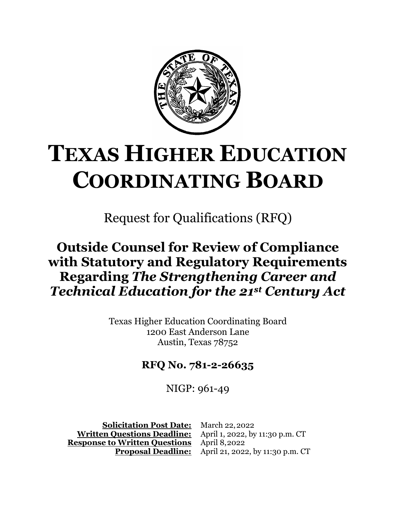

# **TEXAS HIGHER EDUCATION COORDINATING BOARD**

Request for Qualifications (RFQ)

## **Outside Counsel for Review of Compliance with Statutory and Regulatory Requirements Regarding** *The Strengthening Career and Technical Education for the 21st Century Act*

Texas Higher Education Coordinating Board 1200 East Anderson Lane Austin, Texas 78752

## **RFQ No. 781-2-26635**

NIGP: 961-49

**Written Questions Deadline: Response to Written Questions** April 8, 2022

**Solicitation Post Date:** March 22, 2022<br>**Producions Deadline:** April 1, 2022, by 11:30 p.m. CT April 21, 2022, by 11:30 p.m. CT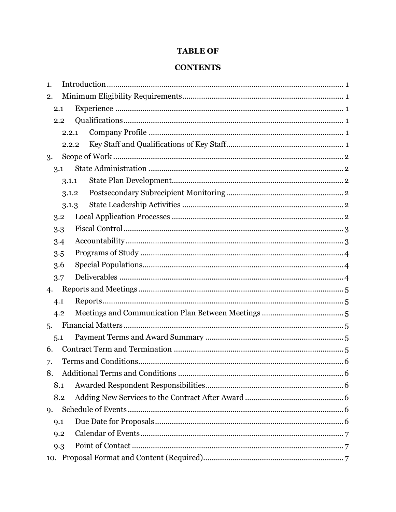#### **TABLE OF**

#### **CONTENTS**

| 1.  |       |  |  |  |  |  |
|-----|-------|--|--|--|--|--|
| 2.  |       |  |  |  |  |  |
| 2.1 |       |  |  |  |  |  |
|     | 2.2   |  |  |  |  |  |
|     | 2.2.1 |  |  |  |  |  |
|     | 2.2.2 |  |  |  |  |  |
| 3.  |       |  |  |  |  |  |
| 3.1 |       |  |  |  |  |  |
|     | 3.1.1 |  |  |  |  |  |
|     | 3.1.2 |  |  |  |  |  |
|     | 3.1.3 |  |  |  |  |  |
|     | 3.2   |  |  |  |  |  |
|     | 3.3   |  |  |  |  |  |
|     | 3.4   |  |  |  |  |  |
|     | 3.5   |  |  |  |  |  |
|     | 3.6   |  |  |  |  |  |
| 3.7 |       |  |  |  |  |  |
| 4.  |       |  |  |  |  |  |
| 4.1 |       |  |  |  |  |  |
|     | 4.2   |  |  |  |  |  |
| 5.  |       |  |  |  |  |  |
| 5.1 |       |  |  |  |  |  |
| 6.  |       |  |  |  |  |  |
| 7.  |       |  |  |  |  |  |
| 8.  |       |  |  |  |  |  |
| 8.1 |       |  |  |  |  |  |
|     | 8.2   |  |  |  |  |  |
| 9.  |       |  |  |  |  |  |
| 9.1 |       |  |  |  |  |  |
|     | 9.2   |  |  |  |  |  |
|     | 9.3   |  |  |  |  |  |
|     |       |  |  |  |  |  |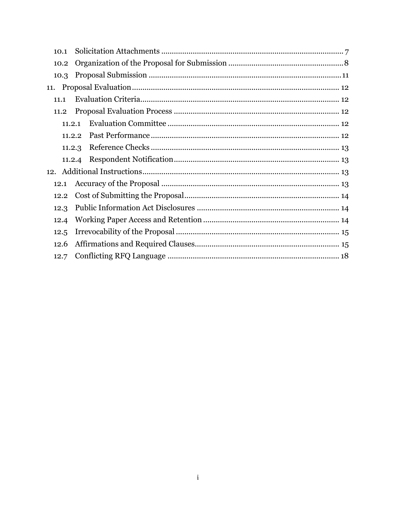| 10.1 |        |
|------|--------|
| 10.2 |        |
| 10.3 |        |
|      |        |
| 11.1 |        |
| 11.2 |        |
|      | 11.2.1 |
|      | 11.2.2 |
|      | 11.2.3 |
|      | 11.2.4 |
|      |        |
| 12.1 |        |
| 12.2 |        |
| 12.3 |        |
| 12.4 |        |
| 12.5 |        |
| 12.6 |        |
| 12.7 |        |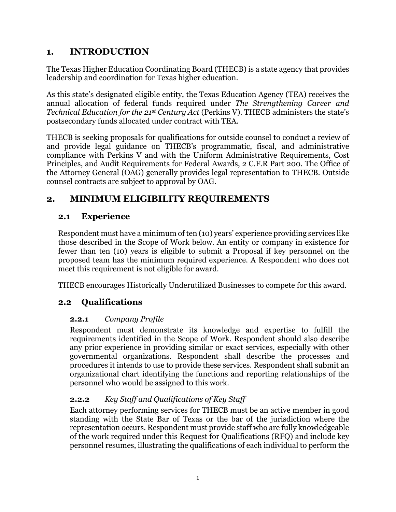## <span id="page-3-0"></span>**1. INTRODUCTION**

The Texas Higher Education Coordinating Board (THECB) is a state agency that provides leadership and coordination for Texas higher education.

As this state's designated eligible entity, the Texas Education Agency (TEA) receives the annual allocation of federal funds required under *The Strengthening Career and Technical Education for the 21<sup>st</sup> Century Act (Perkins V). THECB administers the state's* postsecondary funds allocated under contract with TEA.

THECB is seeking proposals for qualifications for outside counsel to conduct a review of and provide legal guidance on THECB's programmatic, fiscal, and administrative compliance with Perkins V and with the Uniform Administrative Requirements, Cost Principles, and Audit Requirements for Federal Awards, 2 C.F.R Part 200. The Office of the Attorney General (OAG) generally provides legal representation to THECB. Outside counsel contracts are subject to approval by OAG.

## <span id="page-3-1"></span>**2. MINIMUM ELIGIBILITY REQUIREMENTS**

## <span id="page-3-2"></span>**2.1 Experience**

Respondent must have a minimum of ten (10) years' experience providing services like those described in the Scope of Work below. An entity or company in existence for fewer than ten (10) years is eligible to submit a Proposal if key personnel on the proposed team has the minimum required experience. A Respondent who does not meet this requirement is not eligible for award.

THECB encourages Historically Underutilized Businesses to compete for this award.

## <span id="page-3-4"></span><span id="page-3-3"></span>**2.2 Qualifications**

## **2.2.1** *Company Profile*

Respondent must demonstrate its knowledge and expertise to fulfill the requirements identified in the Scope of Work. Respondent should also describe any prior experience in providing similar or exact services, especially with other governmental organizations. Respondent shall describe the processes and procedures it intends to use to provide these services. Respondent shall submit an organizational chart identifying the functions and reporting relationships of the personnel who would be assigned to this work.

## <span id="page-3-5"></span>**2.2.2** *Key Staff and Qualifications of Key Staff*

Each attorney performing services for THECB must be an active member in good standing with the State Bar of Texas or the bar of the jurisdiction where the representation occurs. Respondent must provide staff who are fully knowledgeable of the work required under this Request for Qualifications (RFQ) and include key personnel resumes, illustrating the qualifications of each individual to perform the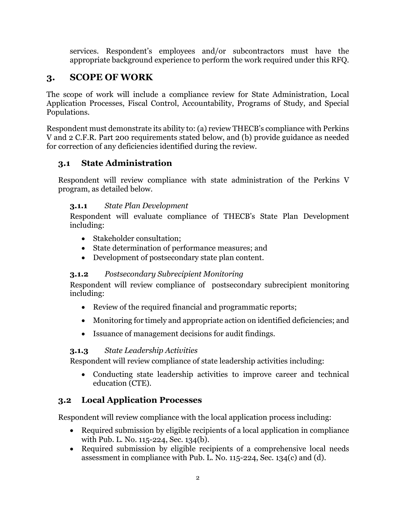services. Respondent's employees and/or subcontractors must have the appropriate background experience to perform the work required under this RFQ.

## <span id="page-4-0"></span>**3. SCOPE OF WORK**

The scope of work will include a compliance review for State Administration, Local Application Processes, Fiscal Control, Accountability, Programs of Study, and Special Populations.

Respondent must demonstrate its ability to: (a) review THECB's compliance with Perkins V and 2 C.F.R. Part 200 requirements stated below, and (b) provide guidance as needed for correction of any deficiencies identified during the review.

## <span id="page-4-1"></span>**3.1 State Administration**

Respondent will review compliance with state administration of the Perkins V program, as detailed below.

#### <span id="page-4-2"></span>**3.1.1** *State Plan Development*

Respondent will evaluate compliance of THECB's State Plan Development including:

- Stakeholder consultation;
- State determination of performance measures; and
- Development of postsecondary state plan content.

## <span id="page-4-3"></span>**3.1.2** *Postsecondary Subrecipient Monitoring*

Respondent will review compliance of postsecondary subrecipient monitoring including:

- Review of the required financial and programmatic reports;
- Monitoring for timely and appropriate action on identified deficiencies; and
- Issuance of management decisions for audit findings.

## <span id="page-4-4"></span>**3.1.3** *State Leadership Activities*

Respondent will review compliance of state leadership activities including:

• Conducting state leadership activities to improve career and technical education (CTE).

## <span id="page-4-5"></span>**3.2 Local Application Processes**

Respondent will review compliance with the local application process including:

- Required submission by eligible recipients of a local application in compliance with Pub. L. No. 115-224, Sec. 134(b).
- Required submission by eligible recipients of a comprehensive local needs assessment in compliance with Pub. L. No. 115-224, Sec. 134(c) and (d).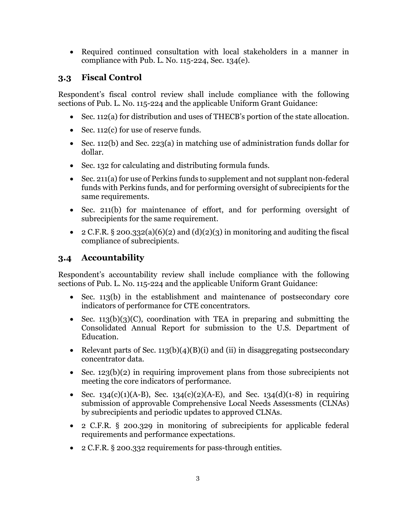• Required continued consultation with local stakeholders in a manner in compliance with Pub. L. No. 115-224, Sec. 134(e).

## <span id="page-5-0"></span>**3.3 Fiscal Control**

Respondent's fiscal control review shall include compliance with the following sections of Pub. L. No. 115-224 and the applicable Uniform Grant Guidance:

- Sec. 112(a) for distribution and uses of THECB's portion of the state allocation.
- Sec. 112(c) for use of reserve funds.
- Sec. 112(b) and Sec. 223(a) in matching use of administration funds dollar for dollar.
- Sec. 132 for calculating and distributing formula funds.
- Sec. 211(a) for use of Perkins funds to supplement and not supplant non-federal funds with Perkins funds, and for performing oversight of subrecipients for the same requirements.
- Sec. 211(b) for maintenance of effort, and for performing oversight of subrecipients for the same requirement.
- 2 C.F.R. § 200.332(a)(6)(2) and (d)(2)(3) in monitoring and auditing the fiscal compliance of subrecipients.

## <span id="page-5-1"></span>**3.4 Accountability**

Respondent's accountability review shall include compliance with the following sections of Pub. L. No. 115-224 and the applicable Uniform Grant Guidance:

- Sec. 113(b) in the establishment and maintenance of postsecondary core indicators of performance for CTE concentrators.
- Sec.  $113(b)(3)(C)$ , coordination with TEA in preparing and submitting the Consolidated Annual Report for submission to the U.S. Department of Education.
- Relevant parts of Sec. 113(b)(4)(B)(i) and (ii) in disaggregating postsecondary concentrator data.
- Sec. 123(b)(2) in requiring improvement plans from those subrecipients not meeting the core indicators of performance.
- Sec. 134(c)(1)(A-B), Sec. 134(c)(2)(A-E), and Sec. 134(d)(1-8) in requiring submission of approvable Comprehensive Local Needs Assessments (CLNAs) by subrecipients and periodic updates to approved CLNAs.
- 2 C.F.R. § 200.329 in monitoring of subrecipients for applicable federal requirements and performance expectations.
- 2 C.F.R. § 200.332 requirements for pass-through entities.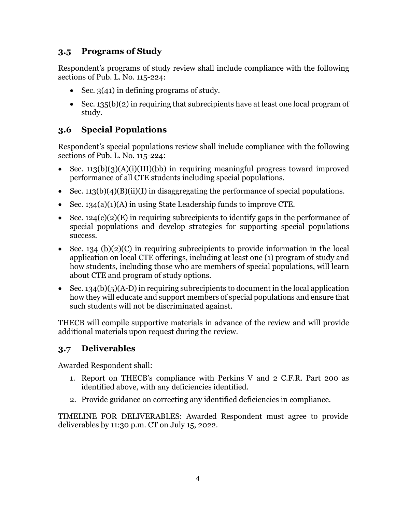## <span id="page-6-0"></span>**3.5 Programs of Study**

Respondent's programs of study review shall include compliance with the following sections of Pub. L. No. 115-224:

- Sec.  $3(41)$  in defining programs of study.
- Sec. 135(b)(2) in requiring that subrecipients have at least one local program of study.

## <span id="page-6-1"></span>**3.6 Special Populations**

Respondent's special populations review shall include compliance with the following sections of Pub. L. No. 115-224:

- Sec. 113(b)(3)(A)(i)(III)(bb) in requiring meaningful progress toward improved performance of all CTE students including special populations.
- Sec. 113(b)(4)(B)(ii)(I) in disaggregating the performance of special populations.
- Sec. 134(a)(1)(A) in using State Leadership funds to improve CTE.
- Sec.  $124(c)(2)(E)$  in requiring subrecipients to identify gaps in the performance of special populations and develop strategies for supporting special populations success.
- Sec. 134 (b)(2)(C) in requiring subrecipients to provide information in the local application on local CTE offerings, including at least one (1) program of study and how students, including those who are members of special populations, will learn about CTE and program of study options.
- Sec. 134(b) $(5)(A-D)$  in requiring subrecipients to document in the local application how they will educate and support members of special populations and ensure that such students will not be discriminated against.

THECB will compile supportive materials in advance of the review and will provide additional materials upon request during the review.

## <span id="page-6-2"></span>**3.7 Deliverables**

Awarded Respondent shall:

- 1. Report on THECB's compliance with Perkins V and 2 C.F.R. Part 200 as identified above, with any deficiencies identified.
- 2. Provide guidance on correcting any identified deficiencies in compliance.

TIMELINE FOR DELIVERABLES: Awarded Respondent must agree to provide deliverables by 11:30 p.m. CT on July 15, 2022.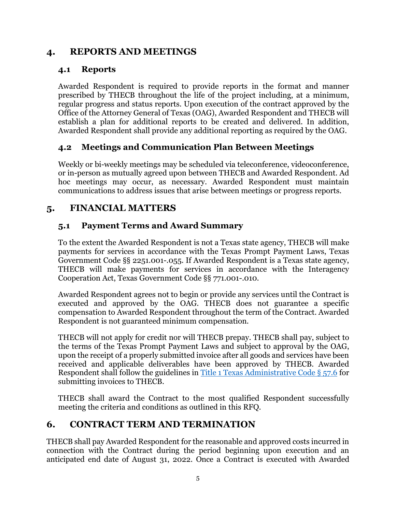## <span id="page-7-0"></span>**4. REPORTS AND MEETINGS**

#### <span id="page-7-1"></span>**4.1 Reports**

Awarded Respondent is required to provide reports in the format and manner prescribed by THECB throughout the life of the project including, at a minimum, regular progress and status reports. Upon execution of the contract approved by the Office of the Attorney General of Texas (OAG), Awarded Respondent and THECB will establish a plan for additional reports to be created and delivered. In addition, Awarded Respondent shall provide any additional reporting as required by the OAG.

## <span id="page-7-2"></span>**4.2 Meetings and Communication Plan Between Meetings**

Weekly or bi-weekly meetings may be scheduled via teleconference, videoconference, or in-person as mutually agreed upon between THECB and Awarded Respondent. Ad hoc meetings may occur, as necessary. Awarded Respondent must maintain communications to address issues that arise between meetings or progress reports.

## <span id="page-7-3"></span>**5. FINANCIAL MATTERS**

## <span id="page-7-4"></span>**5.1 Payment Terms and Award Summary**

To the extent the Awarded Respondent is not a Texas state agency, THECB will make payments for services in accordance with the Texas Prompt Payment Laws, Texas Government Code §§ 2251.001-.055. If Awarded Respondent is a Texas state agency, THECB will make payments for services in accordance with the Interagency Cooperation Act, Texas Government Code §§ 771.001-.010.

Awarded Respondent agrees not to begin or provide any services until the Contract is executed and approved by the OAG. THECB does not guarantee a specific compensation to Awarded Respondent throughout the term of the Contract. Awarded Respondent is not guaranteed minimum compensation.

THECB will not apply for credit nor will THECB prepay. THECB shall pay, subject to the terms of the Texas Prompt Payment Laws and subject to approval by the OAG, upon the receipt of a properly submitted invoice after all goods and services have been received and applicable deliverables have been approved by THECB. Awarded Respondent shall follow the guidelines in [Title 1 Texas Administrative Code §](https://texreg.sos.state.tx.us/public/readtac$ext.TacPage?sl=R&app=9&p_dir=&p_rloc=&p_tloc=&p_ploc=&pg=1&p_tac=&ti=1&pt=3&ch=57&rl=6) 57.6 for submitting invoices to THECB.

THECB shall award the Contract to the most qualified Respondent successfully meeting the criteria and conditions as outlined in this RFQ.

## <span id="page-7-5"></span>**6. CONTRACT TERM AND TERMINATION**

THECB shall pay Awarded Respondent for the reasonable and approved costs incurred in connection with the Contract during the period beginning upon execution and an anticipated end date of August 31, 2022. Once a Contract is executed with Awarded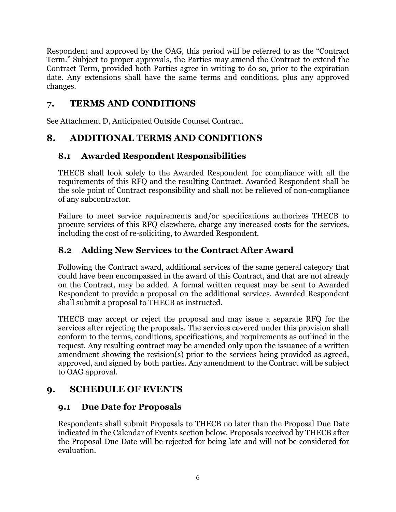Respondent and approved by the OAG, this period will be referred to as the "Contract Term." Subject to proper approvals, the Parties may amend the Contract to extend the Contract Term, provided both Parties agree in writing to do so, prior to the expiration date. Any extensions shall have the same terms and conditions, plus any approved changes.

## <span id="page-8-0"></span>**7. TERMS AND CONDITIONS**

See Attachment D, Anticipated Outside Counsel Contract.

## <span id="page-8-1"></span>**8. ADDITIONAL TERMS AND CONDITIONS**

## <span id="page-8-2"></span>**8.1 Awarded Respondent Responsibilities**

THECB shall look solely to the Awarded Respondent for compliance with all the requirements of this RFQ and the resulting Contract. Awarded Respondent shall be the sole point of Contract responsibility and shall not be relieved of non-compliance of any subcontractor.

Failure to meet service requirements and/or specifications authorizes THECB to procure services of this RFQ elsewhere, charge any increased costs for the services, including the cost of re-soliciting, to Awarded Respondent.

## <span id="page-8-3"></span>**8.2 Adding New Services to the Contract After Award**

Following the Contract award, additional services of the same general category that could have been encompassed in the award of this Contract, and that are not already on the Contract, may be added. A formal written request may be sent to Awarded Respondent to provide a proposal on the additional services. Awarded Respondent shall submit a proposal to THECB as instructed.

THECB may accept or reject the proposal and may issue a separate RFQ for the services after rejecting the proposals. The services covered under this provision shall conform to the terms, conditions, specifications, and requirements as outlined in the request. Any resulting contract may be amended only upon the issuance of a written amendment showing the revision(s) prior to the services being provided as agreed, approved, and signed by both parties. Any amendment to the Contract will be subject to OAG approval.

## <span id="page-8-4"></span>**9. SCHEDULE OF EVENTS**

## <span id="page-8-5"></span>**9.1 Due Date for Proposals**

Respondents shall submit Proposals to THECB no later than the Proposal Due Date indicated in the Calendar of Events section below. Proposals received by THECB after the Proposal Due Date will be rejected for being late and will not be considered for evaluation.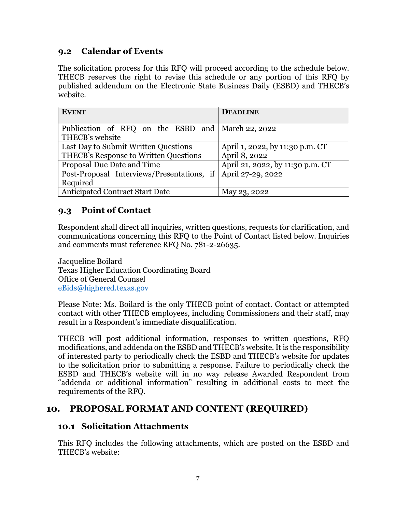## <span id="page-9-0"></span>**9.2 Calendar of Events**

The solicitation process for this RFQ will proceed according to the schedule below. THECB reserves the right to revise this schedule or any portion of this RFQ by published addendum on the Electronic State Business Daily (ESBD) and THECB's website.

| <b>EVENT</b>                                                 | <b>DEADLINE</b>                  |
|--------------------------------------------------------------|----------------------------------|
|                                                              |                                  |
| Publication of RFQ on the ESBD and March 22, 2022            |                                  |
| THECB's website                                              |                                  |
| Last Day to Submit Written Questions                         | April 1, 2022, by 11:30 p.m. CT  |
| THECB's Response to Written Questions                        | April 8, 2022                    |
| Proposal Due Date and Time                                   | April 21, 2022, by 11:30 p.m. CT |
| Post-Proposal Interviews/Presentations, if April 27-29, 2022 |                                  |
| Required                                                     |                                  |
| <b>Anticipated Contract Start Date</b>                       | May 23, 2022                     |

## <span id="page-9-1"></span>**9.3 Point of Contact**

Respondent shall direct all inquiries, written questions, requests for clarification, and communications concerning this RFQ to the Point of Contact listed below. Inquiries and comments must reference RFQ No. 781-2-26635.

Jacqueline Boilard Texas Higher Education Coordinating Board Office of General Counsel [eBids@highered.texas.gov](mailto:eBids@highered.texas.gov)

Please Note: Ms. Boilard is the only THECB point of contact. Contact or attempted contact with other THECB employees, including Commissioners and their staff, may result in a Respondent's immediate disqualification.

THECB will post additional information, responses to written questions, RFQ modifications, and addenda on the ESBD and THECB's website. It is the responsibility of interested party to periodically check the ESBD and THECB's website for updates to the solicitation prior to submitting a response. Failure to periodically check the ESBD and THECB's website will in no way release Awarded Respondent from "addenda or additional information" resulting in additional costs to meet the requirements of the RFQ.

## <span id="page-9-2"></span>**10. PROPOSAL FORMAT AND CONTENT (REQUIRED)**

## <span id="page-9-3"></span>**10.1 Solicitation Attachments**

This RFQ includes the following attachments, which are posted on the ESBD and THECB's website: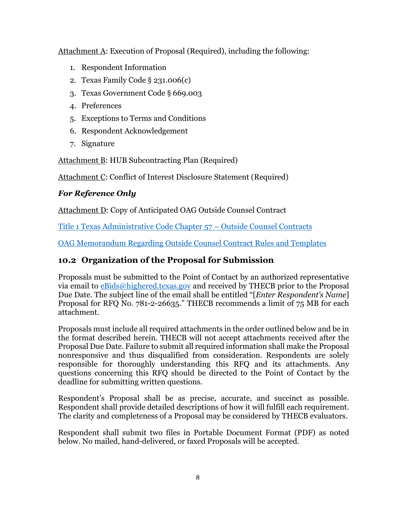Attachment A: Execution of Proposal (Required), including the following:

- 1. Respondent Information
- 2. Texas Family Code § 231.006(c)
- 3. Texas Government Code § 669.003
- 4. Preferences
- 5. Exceptions to Terms and Conditions
- 6. Respondent Acknowledgement
- 7. Signature

Attachment B: HUB Subcontracting Plan (Required)

Attachment C: Conflict of Interest Disclosure Statement (Required)

## *For Reference Only*

Attachment D: Copy of Anticipated OAG Outside Counsel Contract

[Title 1 Texas Administrative Code Chapter 57 – Outside Counsel Contracts](https://texreg.sos.state.tx.us/public/readtac$ext.ViewTAC?tac_view=4&ti=1&pt=3&ch=57&rl=Y)

[OAG Memorandum Regarding Outside Counsel Contract Rules and Templates](https://www.texasattorneygeneral.gov/sites/default/files/files/divisions/general-counsel/LetterToAgenciesOnOutsideCounselContracts.pdf)

## <span id="page-10-0"></span>**10.2 Organization of the Proposal for Submission**

Proposals must be submitted to the Point of Contact by an authorized representative via email to [eBids@highered.texas.gov](mailto:eBids@highered.texas.gov) and received by THECB prior to the Proposal Due Date. The subject line of the email shall be entitled "[*Enter Respondent's Name*] Proposal for RFQ No. 781-2-26635." THECB recommends a limit of 75 MB for each attachment.

Proposals must include all required attachments in the order outlined below and be in the format described herein. THECB will not accept attachments received after the Proposal Due Date. Failure to submit all required information shall make the Proposal nonresponsive and thus disqualified from consideration. Respondents are solely responsible for thoroughly understanding this RFQ and its attachments. Any questions concerning this RFQ should be directed to the Point of Contact by the deadline for submitting written questions.

Respondent's Proposal shall be as precise, accurate, and succinct as possible. Respondent shall provide detailed descriptions of how it will fulfill each requirement. The clarity and completeness of a Proposal may be considered by THECB evaluators.

Respondent shall submit two files in Portable Document Format (PDF) as noted below. No mailed, hand-delivered, or faxed Proposals will be accepted.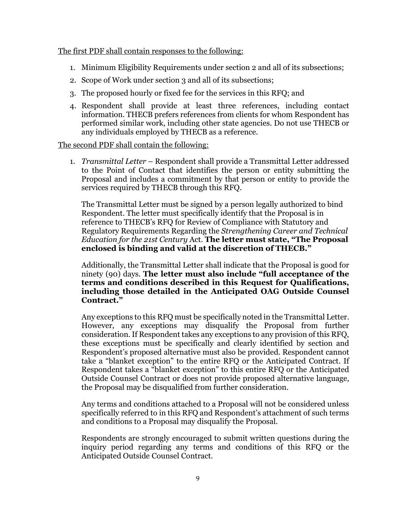The first PDF shall contain responses to the following:

- 1. Minimum Eligibility Requirements under section 2 and all of its subsections;
- 2. Scope of Work under section 3 and all of its subsections;
- 3. The proposed hourly or fixed fee for the services in this RFQ; and
- 4. Respondent shall provide at least three references, including contact information. THECB prefers references from clients for whom Respondent has performed similar work, including other state agencies. Do not use THECB or any individuals employed by THECB as a reference.

The second PDF shall contain the following:

1. *Transmittal Letter* – Respondent shall provide a Transmittal Letter addressed to the Point of Contact that identifies the person or entity submitting the Proposal and includes a commitment by that person or entity to provide the services required by THECB through this RFQ.

The Transmittal Letter must be signed by a person legally authorized to bind Respondent. The letter must specifically identify that the Proposal is in reference to THECB's RFQ for Review of Compliance with Statutory and Regulatory Requirements Regarding the *Strengthening Career and Technical Education for the 21st Century* Act. **The letter must state, "The Proposal enclosed is binding and valid at the discretion of THECB."**

Additionally, the Transmittal Letter shall indicate that the Proposal is good for ninety (90) days. **The letter must also include "full acceptance of the terms and conditions described in this Request for Qualifications, including those detailed in the Anticipated OAG Outside Counsel Contract."**

Any exceptions to this RFQ must be specifically noted in the Transmittal Letter. However, any exceptions may disqualify the Proposal from further consideration. If Respondent takes any exceptions to any provision of this RFQ, these exceptions must be specifically and clearly identified by section and Respondent's proposed alternative must also be provided. Respondent cannot take a "blanket exception" to the entire RFQ or the Anticipated Contract. If Respondent takes a "blanket exception" to this entire RFQ or the Anticipated Outside Counsel Contract or does not provide proposed alternative language, the Proposal may be disqualified from further consideration.

Any terms and conditions attached to a Proposal will not be considered unless specifically referred to in this RFQ and Respondent's attachment of such terms and conditions to a Proposal may disqualify the Proposal.

Respondents are strongly encouraged to submit written questions during the inquiry period regarding any terms and conditions of this RFQ or the Anticipated Outside Counsel Contract.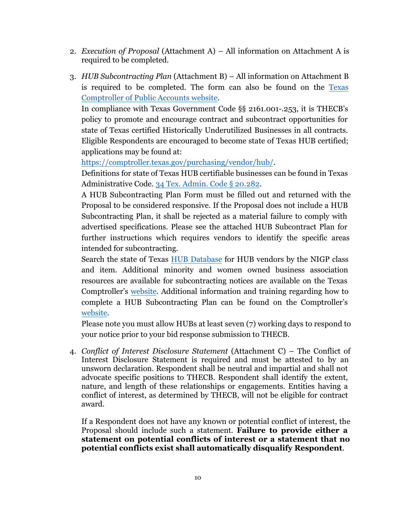- 2. *Execution of Proposal* (Attachment A) All information on Attachment A is required to be completed.
- 3. *HUB Subcontracting Plan* (Attachment B) All information on Attachment B is required to be completed. The form can also be found on the [Texas](https://comptroller.texas.gov/purchasing/vendor/hub/forms.php) [Comptroller of Public Accounts website.](https://comptroller.texas.gov/purchasing/vendor/hub/forms.php)

In compliance with Texas Government Code §§ 2161.001-.253, it is THECB's policy to promote and encourage contract and subcontract opportunities for state of Texas certified Historically Underutilized Businesses in all contracts. Eligible Respondents are encouraged to become state of Texas HUB certified; applications may be found at:

[https://comptroller.texas.gov/purchasing/vendor/hub/.](https://comptroller.texas.gov/purchasing/vendor/hub/)

Definitions for state of Texas HUB certifiable businesses can be found in Texas Administrative Code. 34 Tex. Admin. Code § 20.282.

A HUB Subcontracti[ng Plan Form must be filled o](https://texreg.sos.state.tx.us/public/readtac$ext.TacPage?sl=R&app=9&p_dir=&p_rloc=&p_tloc=&p_ploc=&pg=1&p_tac=&ti=34&pt=1&ch=20&rl=282)ut and returned with the Proposal to be considered responsive. If the Proposal does not include a HUB Subcontracting Plan, it shall be rejected as a material failure to comply with advertised specifications. Please see the attached HUB Subcontract Plan for further instructions which requires vendors to identify the specific areas intended for subcontracting.

Search the state of Texas [HUB Database](https://mycpa.cpa.state.tx.us/tpasscmblsearch/) for HUB vendors by the NIGP class and item. Additional minority and women owned business association resources are available for subcontracting notices are available on the Texas Comptroller's [website.](https://comptroller.texas.gov/purchasing/vendor/hub/) Additional information and training regarding how to complete a HUB Subcontracting Plan can be found on the Comptroller's [website.](https://comptroller.texas.gov/purchasing/vendor/hub/forms.php)

Please note you must allow HUBs at least seven (7) working days to respond to your notice prior to your bid response submission to THECB.

4. *Conflict of Interest Disclosure Statement* (Attachment C) – The Conflict of Interest Disclosure Statement is required and must be attested to by an unsworn declaration. Respondent shall be neutral and impartial and shall not advocate specific positions to THECB. Respondent shall identify the extent, nature, and length of these relationships or engagements. Entities having a conflict of interest, as determined by THECB, will not be eligible for contract award.

If a Respondent does not have any known or potential conflict of interest, the Proposal should include such a statement. **Failure to provide either a statement on potential conflicts of interest or a statement that no potential conflicts exist shall automatically disqualify Respondent**.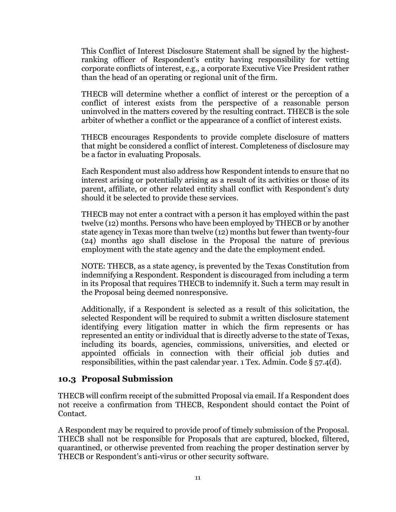This Conflict of Interest Disclosure Statement shall be signed by the highestranking officer of Respondent's entity having responsibility for vetting corporate conflicts of interest, e.g., a corporate Executive Vice President rather than the head of an operating or regional unit of the firm.

THECB will determine whether a conflict of interest or the perception of a conflict of interest exists from the perspective of a reasonable person uninvolved in the matters covered by the resulting contract. THECB is the sole arbiter of whether a conflict or the appearance of a conflict of interest exists.

THECB encourages Respondents to provide complete disclosure of matters that might be considered a conflict of interest. Completeness of disclosure may be a factor in evaluating Proposals.

Each Respondent must also address how Respondent intends to ensure that no interest arising or potentially arising as a result of its activities or those of its parent, affiliate, or other related entity shall conflict with Respondent's duty should it be selected to provide these services.

THECB may not enter a contract with a person it has employed within the past twelve (12) months. Persons who have been employed by THECB or by another state agency in Texas more than twelve (12) months but fewer than twenty-four (24) months ago shall disclose in the Proposal the nature of previous employment with the state agency and the date the employment ended.

NOTE: THECB, as a state agency, is prevented by the Texas Constitution from indemnifying a Respondent. Respondent is discouraged from including a term in its Proposal that requires THECB to indemnify it. Such a term may result in the Proposal being deemed nonresponsive.

Additionally, if a Respondent is selected as a result of this solicitation, the selected Respondent will be required to submit a written disclosure statement identifying every litigation matter in which the firm represents or has represented an entity or individual that is directly adverse to the state of Texas, including its boards, agencies, commissions, universities, and elected or appointed officials in connection with their official job duties and responsibilities, within the past calendar year. 1 Tex. Admin. Code § 57.4(d).

#### <span id="page-13-0"></span>**10.3 Proposal Submission**

THECB will confirm receipt of the submitted Proposal via email. If a Respondent does not receive a confirmation from THECB, Respondent should contact the Point of Contact.

A Respondent may be required to provide proof of timely submission of the Proposal. THECB shall not be responsible for Proposals that are captured, blocked, filtered, quarantined, or otherwise prevented from reaching the proper destination server by THECB or Respondent's anti-virus or other security software.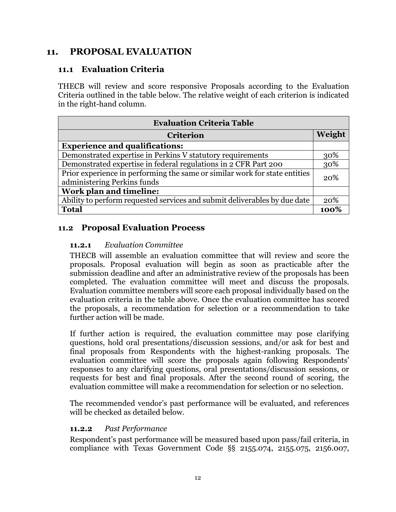## <span id="page-14-0"></span>**11. PROPOSAL EVALUATION**

#### <span id="page-14-1"></span>**11.1 Evaluation Criteria**

THECB will review and score responsive Proposals according to the Evaluation Criteria outlined in the table below. The relative weight of each criterion is indicated in the right-hand column.

| <b>Evaluation Criteria Table</b>                                                                          |        |  |  |  |
|-----------------------------------------------------------------------------------------------------------|--------|--|--|--|
| <b>Criterion</b>                                                                                          | Weight |  |  |  |
| <b>Experience and qualifications:</b>                                                                     |        |  |  |  |
| Demonstrated expertise in Perkins V statutory requirements                                                | 30%    |  |  |  |
| Demonstrated expertise in federal regulations in 2 CFR Part 200                                           |        |  |  |  |
| Prior experience in performing the same or similar work for state entities<br>administering Perkins funds |        |  |  |  |
| <b>Work plan and timeline:</b>                                                                            |        |  |  |  |
| Ability to perform requested services and submit deliverables by due date                                 |        |  |  |  |
| <b>Total</b>                                                                                              | 100%   |  |  |  |

#### <span id="page-14-3"></span><span id="page-14-2"></span>**11.2 Proposal Evaluation Process**

#### **11.2.1** *Evaluation Committee*

THECB will assemble an evaluation committee that will review and score the proposals. Proposal evaluation will begin as soon as practicable after the submission deadline and after an administrative review of the proposals has been completed. The evaluation committee will meet and discuss the proposals. Evaluation committee members will score each proposal individually based on the evaluation criteria in the table above. Once the evaluation committee has scored the proposals, a recommendation for selection or a recommendation to take further action will be made.

If further action is required, the evaluation committee may pose clarifying questions, hold oral presentations/discussion sessions, and/or ask for best and final proposals from Respondents with the highest-ranking proposals. The evaluation committee will score the proposals again following Respondents' responses to any clarifying questions, oral presentations/discussion sessions, or requests for best and final proposals. After the second round of scoring, the evaluation committee will make a recommendation for selection or no selection.

The recommended vendor's past performance will be evaluated, and references will be checked as detailed below.

#### <span id="page-14-4"></span>**11.2.2** *Past Performance*

Respondent's past performance will be measured based upon pass/fail criteria, in compliance with Texas Government Code §§ 2155.074, 2155.075, 2156.007,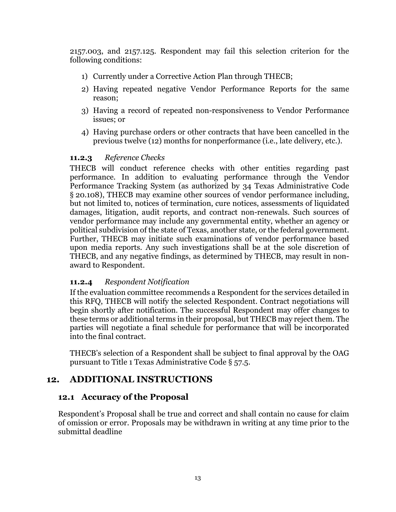2157.003, and 2157.125. Respondent may fail this selection criterion for the following conditions:

- 1) Currently under a Corrective Action Plan through THECB;
- 2) Having repeated negative Vendor Performance Reports for the same reason;
- 3) Having a record of repeated non-responsiveness to Vendor Performance issues; or
- 4) Having purchase orders or other contracts that have been cancelled in the previous twelve (12) months for nonperformance (i.e., late delivery, etc.).

#### <span id="page-15-0"></span>**11.2.3** *Reference Checks*

THECB will conduct reference checks with other entities regarding past performance. In addition to evaluating performance through the Vendor Performance Tracking System (as authorized by 34 Texas Administrative Code § 20.108), THECB may examine other sources of vendor performance including, but not limited to, notices of termination, cure notices, assessments of liquidated damages, litigation, audit reports, and contract non-renewals. Such sources of vendor performance may include any governmental entity, whether an agency or political subdivision of the state of Texas, another state, or the federal government. Further, THECB may initiate such examinations of vendor performance based upon media reports. Any such investigations shall be at the sole discretion of THECB, and any negative findings, as determined by THECB, may result in nonaward to Respondent.

#### <span id="page-15-1"></span>**11.2.4** *Respondent Notification*

If the evaluation committee recommends a Respondent for the services detailed in this RFQ, THECB will notify the selected Respondent. Contract negotiations will begin shortly after notification. The successful Respondent may offer changes to these terms or additional terms in their proposal, but THECB may reject them. The parties will negotiate a final schedule for performance that will be incorporated into the final contract.

THECB's selection of a Respondent shall be subject to final approval by the OAG pursuant to Title 1 Texas Administrative Code § 57.5.

## <span id="page-15-2"></span>**12. ADDITIONAL INSTRUCTIONS**

## <span id="page-15-3"></span>**12.1 Accuracy of the Proposal**

Respondent's Proposal shall be true and correct and shall contain no cause for claim of omission or error. Proposals may be withdrawn in writing at any time prior to the submittal deadline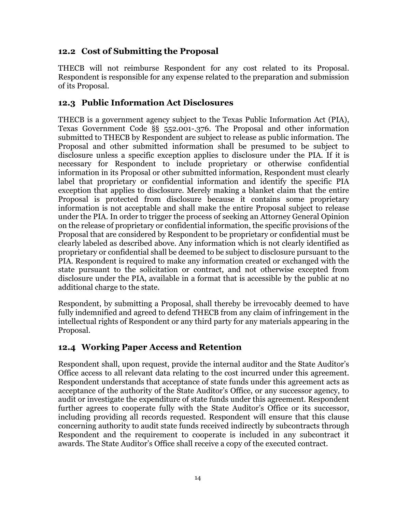## <span id="page-16-0"></span>**12.2 Cost of Submitting the Proposal**

THECB will not reimburse Respondent for any cost related to its Proposal. Respondent is responsible for any expense related to the preparation and submission of its Proposal.

## <span id="page-16-1"></span>**12.3 Public Information Act Disclosures**

THECB is a government agency subject to the Texas Public Information Act (PIA), Texas Government Code §§ 552.001-.376. The Proposal and other information submitted to THECB by Respondent are subject to release as public information. The Proposal and other submitted information shall be presumed to be subject to disclosure unless a specific exception applies to disclosure under the PIA. If it is necessary for Respondent to include proprietary or otherwise confidential information in its Proposal or other submitted information, Respondent must clearly label that proprietary or confidential information and identify the specific PIA exception that applies to disclosure. Merely making a blanket claim that the entire Proposal is protected from disclosure because it contains some proprietary information is not acceptable and shall make the entire Proposal subject to release under the PIA. In order to trigger the process of seeking an Attorney General Opinion on the release of proprietary or confidential information, the specific provisions of the Proposal that are considered by Respondent to be proprietary or confidential must be clearly labeled as described above. Any information which is not clearly identified as proprietary or confidential shall be deemed to be subject to disclosure pursuant to the PIA. Respondent is required to make any information created or exchanged with the state pursuant to the solicitation or contract, and not otherwise excepted from disclosure under the PIA, available in a format that is accessible by the public at no additional charge to the state.

Respondent, by submitting a Proposal, shall thereby be irrevocably deemed to have fully indemnified and agreed to defend THECB from any claim of infringement in the intellectual rights of Respondent or any third party for any materials appearing in the Proposal.

## <span id="page-16-2"></span>**12.4 Working Paper Access and Retention**

Respondent shall, upon request, provide the internal auditor and the State Auditor's Office access to all relevant data relating to the cost incurred under this agreement. Respondent understands that acceptance of state funds under this agreement acts as acceptance of the authority of the State Auditor's Office, or any successor agency, to audit or investigate the expenditure of state funds under this agreement. Respondent further agrees to cooperate fully with the State Auditor's Office or its successor, including providing all records requested. Respondent will ensure that this clause concerning authority to audit state funds received indirectly by subcontracts through Respondent and the requirement to cooperate is included in any subcontract it awards. The State Auditor's Office shall receive a copy of the executed contract.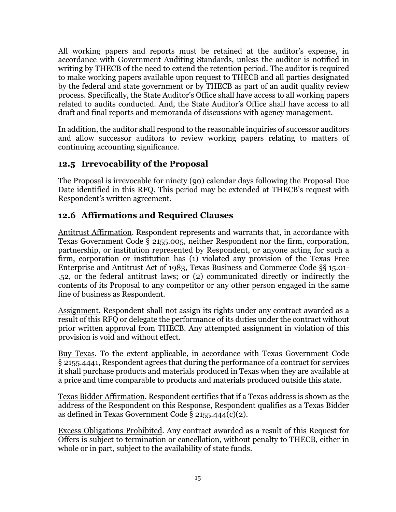All working papers and reports must be retained at the auditor's expense, in accordance with Government Auditing Standards, unless the auditor is notified in writing by THECB of the need to extend the retention period. The auditor is required to make working papers available upon request to THECB and all parties designated by the federal and state government or by THECB as part of an audit quality review process. Specifically, the State Auditor's Office shall have access to all working papers related to audits conducted. And, the State Auditor's Office shall have access to all draft and final reports and memoranda of discussions with agency management.

In addition, the auditor shall respond to the reasonable inquiries of successor auditors and allow successor auditors to review working papers relating to matters of continuing accounting significance.

## <span id="page-17-0"></span>**12.5 Irrevocability of the Proposal**

The Proposal is irrevocable for ninety (90) calendar days following the Proposal Due Date identified in this RFQ. This period may be extended at THECB's request with Respondent's written agreement.

## <span id="page-17-1"></span>**12.6 Affirmations and Required Clauses**

Antitrust Affirmation. Respondent represents and warrants that, in accordance with Texas Government Code § 2155.005, neither Respondent nor the firm, corporation, partnership, or institution represented by Respondent, or anyone acting for such a firm, corporation or institution has (1) violated any provision of the Texas Free Enterprise and Antitrust Act of 1983, Texas Business and Commerce Code §§ 15.01- .52, or the federal antitrust laws; or (2) communicated directly or indirectly the contents of its Proposal to any competitor or any other person engaged in the same line of business as Respondent.

Assignment. Respondent shall not assign its rights under any contract awarded as a result of this RFQ or delegate the performance of its duties under the contract without prior written approval from THECB. Any attempted assignment in violation of this provision is void and without effect.

Buy Texas. To the extent applicable, in accordance with Texas Government Code § 2155.4441, Respondent agrees that during the performance of a contract for services it shall purchase products and materials produced in Texas when they are available at a price and time comparable to products and materials produced outside this state.

Texas Bidder Affirmation. Respondent certifies that if a Texas address is shown as the address of the Respondent on this Response, Respondent qualifies as a Texas Bidder as defined in Texas Government Code § 2155.444(c)(2).

Excess Obligations Prohibited. Any contract awarded as a result of this Request for Offers is subject to termination or cancellation, without penalty to THECB, either in whole or in part, subject to the availability of state funds.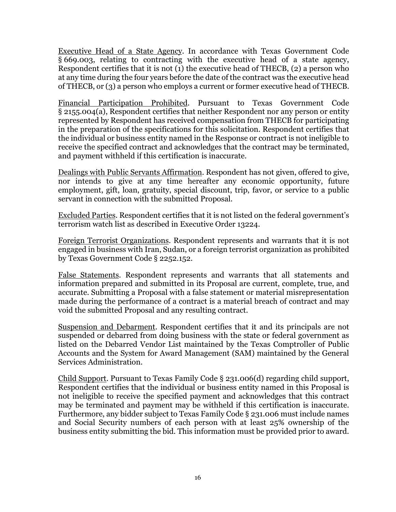Executive Head of a State Agency. In accordance with Texas Government Code § 669.003, relating to contracting with the executive head of a state agency, Respondent certifies that it is not (1) the executive head of THECB, (2) a person who at any time during the four years before the date of the contract was the executive head of THECB, or (3) a person who employs a current or former executive head of THECB.

Financial Participation Prohibited. Pursuant to Texas Government Code § 2155.004(a), Respondent certifies that neither Respondent nor any person or entity represented by Respondent has received compensation from THECB for participating in the preparation of the specifications for this solicitation. Respondent certifies that the individual or business entity named in the Response or contract is not ineligible to receive the specified contract and acknowledges that the contract may be terminated, and payment withheld if this certification is inaccurate.

Dealings with Public Servants Affirmation. Respondent has not given, offered to give, nor intends to give at any time hereafter any economic opportunity, future employment, gift, loan, gratuity, special discount, trip, favor, or service to a public servant in connection with the submitted Proposal.

Excluded Parties. Respondent certifies that it is not listed on the federal government's terrorism watch list as described in Executive Order 13224.

Foreign Terrorist Organizations. Respondent represents and warrants that it is not engaged in business with Iran, Sudan, or a foreign terrorist organization as prohibited by Texas Government Code § 2252.152.

False Statements. Respondent represents and warrants that all statements and information prepared and submitted in its Proposal are current, complete, true, and accurate. Submitting a Proposal with a false statement or material misrepresentation made during the performance of a contract is a material breach of contract and may void the submitted Proposal and any resulting contract.

Suspension and Debarment. Respondent certifies that it and its principals are not suspended or debarred from doing business with the state or federal government as listed on the Debarred Vendor List maintained by the Texas Comptroller of Public Accounts and the System for Award Management (SAM) maintained by the General Services Administration.

Child Support. Pursuant to Texas Family Code § 231.006(d) regarding child support, Respondent certifies that the individual or business entity named in this Proposal is not ineligible to receive the specified payment and acknowledges that this contract may be terminated and payment may be withheld if this certification is inaccurate. Furthermore, any bidder subject to Texas Family Code § 231.006 must include names and Social Security numbers of each person with at least 25% ownership of the business entity submitting the bid. This information must be provided prior to award.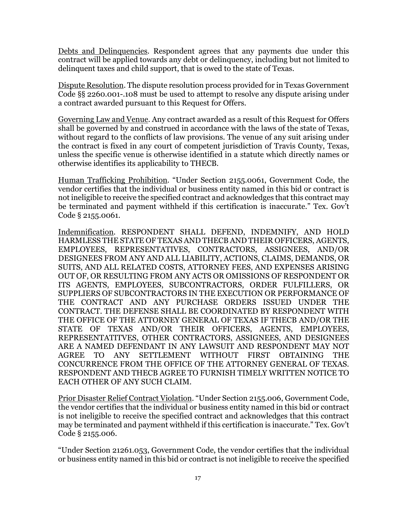Debts and Delinquencies. Respondent agrees that any payments due under this contract will be applied towards any debt or delinquency, including but not limited to delinquent taxes and child support, that is owed to the state of Texas.

Dispute Resolution. The dispute resolution process provided for in Texas Government Code §§ 2260.001-.108 must be used to attempt to resolve any dispute arising under a contract awarded pursuant to this Request for Offers.

Governing Law and Venue. Any contract awarded as a result of this Request for Offers shall be governed by and construed in accordance with the laws of the state of Texas, without regard to the conflicts of law provisions. The venue of any suit arising under the contract is fixed in any court of competent jurisdiction of Travis County, Texas, unless the specific venue is otherwise identified in a statute which directly names or otherwise identifies its applicability to THECB.

Human Trafficking Prohibition. "Under Section 2155.0061, Government Code, the vendor certifies that the individual or business entity named in this bid or contract is not ineligible to receive the specified contract and acknowledges that this contract may be terminated and payment withheld if this certification is inaccurate." Tex. Gov't Code § 2155.0061.

Indemnification. RESPONDENT SHALL DEFEND, INDEMNIFY, AND HOLD HARMLESS THE STATE OF TEXAS AND THECB AND THEIR OFFICERS, AGENTS, EMPLOYEES, REPRESENTATIVES, CONTRACTORS, ASSIGNEES, AND/OR DESIGNEES FROM ANY AND ALL LIABILITY, ACTIONS, CLAIMS, DEMANDS, OR SUITS, AND ALL RELATED COSTS, ATTORNEY FEES, AND EXPENSES ARISING OUT OF, OR RESULTING FROM ANY ACTS OR OMISSIONS OF RESPONDENT OR ITS AGENTS, EMPLOYEES, SUBCONTRACTORS, ORDER FULFILLERS, OR SUPPLIERS OF SUBCONTRACTORS IN THE EXECUTION OR PERFORMANCE OF THE CONTRACT AND ANY PURCHASE ORDERS ISSUED UNDER THE CONTRACT. THE DEFENSE SHALL BE COORDINATED BY RESPONDENT WITH THE OFFICE OF THE ATTORNEY GENERAL OF TEXAS IF THECB AND/OR THE STATE OF TEXAS AND/OR THEIR OFFICERS, AGENTS, EMPLOYEES, REPRESENTATITVES, OTHER CONTRACTORS, ASSIGNEES, AND DESIGNEES ARE A NAMED DEFENDANT IN ANY LAWSUIT AND RESPONDENT MAY NOT AGREE TO ANY SETTLEMENT WITHOUT FIRST OBTAINING THE CONCURRENCE FROM THE OFFICE OF THE ATTORNEY GENERAL OF TEXAS. RESPONDENT AND THECB AGREE TO FURNISH TIMELY WRITTEN NOTICE TO EACH OTHER OF ANY SUCH CLAIM.

Prior Disaster Relief Contract Violation. "Under Section 2155.006, Government Code, the vendor certifies that the individual or business entity named in this bid or contract is not ineligible to receive the specified contract and acknowledges that this contract may be terminated and payment withheld if this certification is inaccurate." Tex. Gov't Code § 2155.006.

"Under Section 21261.053, Government Code, the vendor certifies that the individual or business entity named in this bid or contract is not ineligible to receive the specified